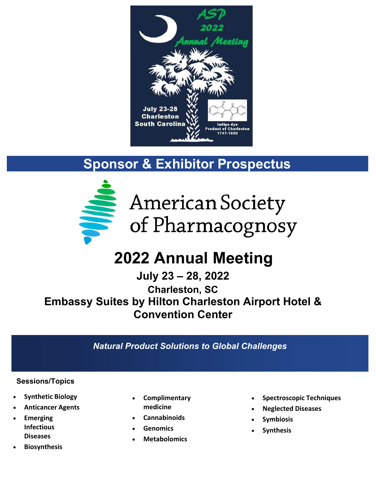

## **Sponsor & Exhibitor Prospectus**



American Society of Pharmacognosy

# **2022 Annual Meeting**

**July 23 – 28, 2022 Charleston, SC Embassy Suites by Hilton Charleston Airport Hotel & Convention Center**

*Natural Product Solutions to Global Challenges*

#### **Sessions/Topics**

- **Synthetic Biology**
- **Anticancer Agents**
- **Emerging Infectious Diseases**
- **Biosynthesis**
- **Complimentary medicine**
- **Cannabinoids**
- **Genomics**
- **Metabolomics**
- **Spectroscopic Techniques**
- **Neglected Diseases**
- **Symbiosis**
- **Synthesis**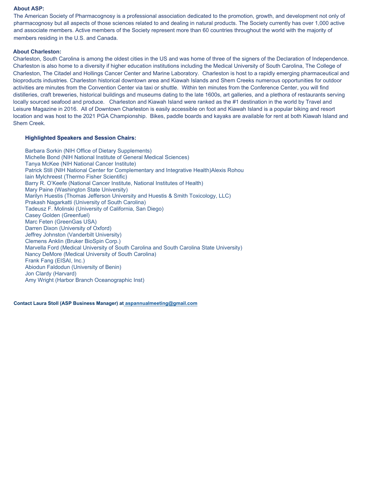#### **About ASP:**

The American Society of Pharmacognosy is a professional association dedicated to the promotion, growth, and development not only of pharmacognosy but all aspects of those sciences related to and dealing in natural products. The Society currently has over 1,000 active and associate members. Active members of the Society represent more than 60 countries throughout the world with the majority of members residing in the U.S. and Canada.

#### **About Charleston:**

Charleston, South Carolina is among the oldest cities in the US and was home of three of the signers of the Declaration of Independence. Charleston is also home to a diversity if higher education institutions including the Medical University of South Carolina, The College of Charleston, The Citadel and Hollings Cancer Center and Marine Laboratory. Charleston is host to a rapidly emerging pharmaceutical and bioproducts industries. Charleston historical downtown area and Kiawah Islands and Shem Creeks numerous opportunities for outdoor activities are minutes from the Convention Center via taxi or shuttle. Within ten minutes from the Conference Center, you will find distilleries, craft breweries, historical buildings and museums dating to the late 1600s, art galleries, and a plethora of restaurants serving locally sourced seafood and produce. Charleston and Kiawah Island were ranked as the #1 destination in the world by Travel and Leisure Magazine in 2016. All of Downtown Charleston is easily accessible on foot and Kiawah Island is a popular biking and resort location and was host to the 2021 PGA Championship. Bikes, paddle boards and kayaks are available for rent at both Kiawah Island and Shem Creek.

#### **Highlighted Speakers and Session Chairs:**

Barbara Sorkin (NIH Office of Dietary Supplements) Michelle Bond (NIH National Institute of General Medical Sciences) Tanya McKee (NIH National Cancer Institute) Patrick Still (NIH National Center for Complementary and Integrative Health)Alexis Rohou Iain Mylchreest (Thermo Fisher Scientific) Barry R. O'Keefe (National Cancer Institute, National Institutes of Health) Mary Paine (Washington State University) Marilyn Huestis (Thomas Jefferson University and Huestis & Smith Toxicology, LLC) Prakash Nagarkatti (University of South Carolina) Tadeusz F. Molinski (University of California, San Diego) Casey Golden (Greenfuel) Marc Feten (GreenGas USA) Darren Dixon (University of Oxford) Jeffrey Johnston (Vanderbilt University) Clemens Anklin (Bruker BioSpin Corp.) Marvella Ford (Medical University of South Carolina and South Carolina State University) Nancy DeMore (Medical University of South Carolina) Frank Fang (EISAI, Inc.) Abiodun Faldodun (University of Benin) Jon Clardy (Harvard) Amy Wright (Harbor Branch Oceanographic Inst)

**Contact Laura Stoll (ASP Business Manager) at [aspannualmeeting@gmail.com](mailto:aspannualmeeting@gmail.com)**